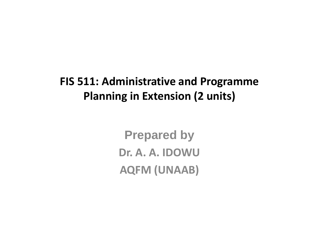### **FIS 511: Administrative and Programme Planning in Extension (2 units)**

**Prepared byDr. A. A. IDOWUAQFM (UNAAB)**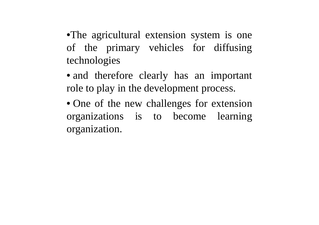•The agricultural extension system is one of the primary vehicles for diffusingtechnologies

• and therefore clearly has an important role to play in the development process.

• One of the new challenges for extension organizations is to become learning organization.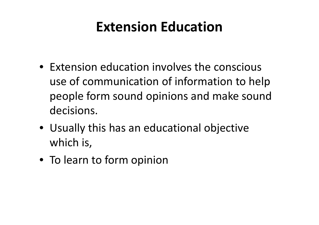### **Extension Education**

- Extension education involves the conscious use of communication of information to help people form sound opinions and make sound decisions.
- Usually this has an educational objective which is,
- To learn to form opinion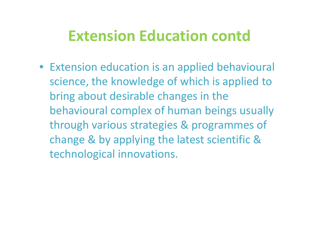• Extension education is an applied behavioural science, the knowledge of which is applied to bring about desirable changes in the behavioural complex of human beings usually through various strategies & programmes of change & by applying the latest scientific & technological innovations.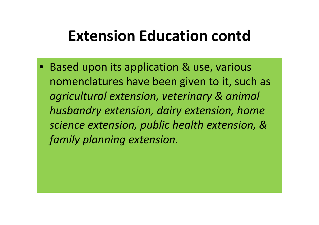• Based upon its application & use, various nomenclatures have been given to it, such as *agricultural extension, veterinary & animal husbandry extension, dairy extension, home science extension, public health extension, & family planning extension.*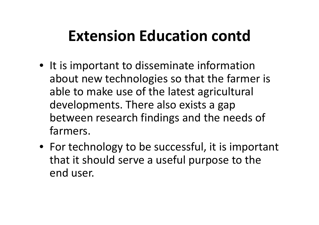- It is important to disseminate information about new technologies so that the farmer is able to make use of the latest agricultural developments. There also exists a gap between research findings and the needs of farmers.
- For technology to be successful, it is important that it should serve a useful purpose to the end user.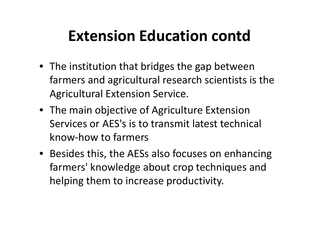- The institution that bridges the gap between farmers and agricultural research scientists is theAgricultural Extension Service.
- The main objective of Agriculture Extension Services or AES's is to transmit latest technical know-how to farmers
- Besides this, the AESs also focuses on enhancing farmers' knowledge about crop techniques and helping them to increase productivity.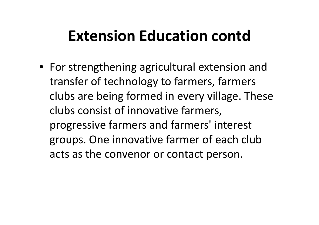• For strengthening agricultural extension and transfer of technology to farmers, farmers clubs are being formed in every village. These clubs consist of innovative farmers, progressive farmers and farmers' interest groups. One innovative farmer of each club acts as the convenor or contact person.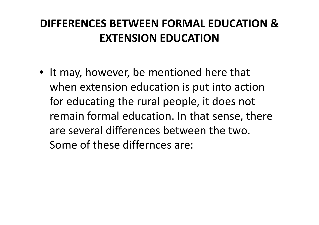### **DIFFERENCES BETWEEN FORMAL EDUCATION & EXTENSION EDUCATION**

• It may, however, be mentioned here that when extension education is put into action for educating the rural people, it does not remain formal education. In that sense, there are several differences between the two. Some of these differnces are: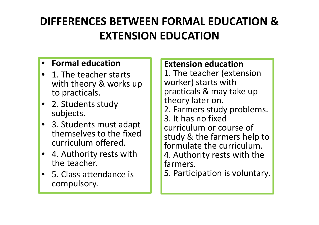### **DIFFERENCES BETWEEN FORMAL EDUCATION & EXTENSION EDUCATION**

#### •**Formal education**

- 1. The teacher starts with theory & works up to practicals.
- 2. Students study subjects.
- 3. Students must adapt themselves to the fixed curriculum offered.
- 4. Authority rests with the teacher.
- 5. Class attendance is compulsory.

### **Extension education**

 1. The teacher (extension worker) starts with practicals & may take up theory later on. 2. Farmers study problems.3. It has no fixed curriculum or course of study & the farmers help to formulate the curriculum. 4. Authority rests with the farmers.

5. Participation is voluntary.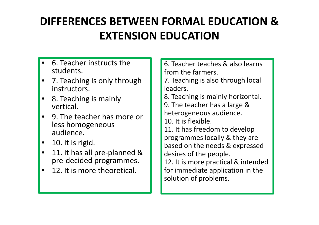### **DIFFERENCES BETWEEN FORMAL EDUCATION & EXTENSION EDUCATION**

- • 6. Teacher instructs the students.
- • 7. Teaching is only through instructors.
- • 8. Teaching is mainly vertical.
- 9. The teacher has more or less homogeneous audience.
- •10. It is rigid.
- • 11. It has all pre-planned & pre-decided programmes.
- •12. It is more theoretical.

6. Teacher teaches & also learns from the farmers.

 7. Teaching is also through local leaders.

8. Teaching is mainly horizontal.

9. The teacher has a large & heterogeneous audience.

10. It is flexible.

 11. It has freedom to develop programmes locally & they are based on the needs & expressed desires of the people.

 12. It is more practical & intended for immediate application in the solution of problems.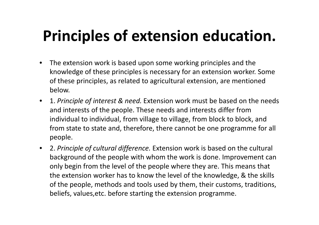# **Principles of extension education.**

- • The extension work is based upon some working principles and the knowledge of these principles is necessary for an extension worker. Some of these principles, as related to agricultural extension, are mentioned below.
- 1. *Principle of interest & need.* Extension work must be based on the needs and interests of the people. These needs and interests differ from individual to individual, from village to village, from block to block, and from state to state and, therefore, there cannot be one programme for all people.
- 2. *Principle of cultural difference.* Extension work is based on the cultural background of the people with whom the work is done. Improvement can only begin from the level of the people where they are. This means that the extension worker has to know the level of the knowledge, & the skills of the people, methods and tools used by them, their customs, traditions, beliefs, values,etc. before starting the extension programme.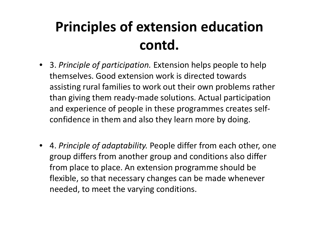## **Principles of extension education contd.**

- 3. *Principle of participation.* Extension helps people to help themselves. Good extension work is directed towardsassisting rural families to work out their own problems rather than giving them ready-made solutions. Actual participation and experience of people in these programmes creates selfconfidence in them and also they learn more by doing.
- 4. *Principle of adaptability.* People differ from each other, one group differs from another group and conditions also differ from place to place. An extension programme should be flexible, so that necessary changes can be made whenever needed, to meet the varying conditions.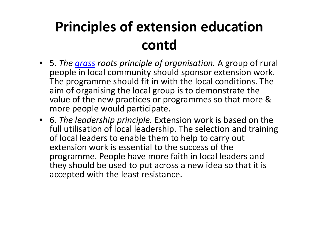## **Principles of extension education contd**

- 5. *The grass roots principle of organisation.* A group of rural people in local community should sponsor extension work. The programme should fit in with the local conditions. The aim of organising the local group is to demonstrate the value of the new practices or programmes so that more & more people would participate.
- 6. *The leadership principle.* Extension work is based on the full utilisation of local leadership. The selection and training of local leaders to enable them to help to carry out extension work is essential to the success of the programme. People have more faith in local leaders and they should be used to put across a new idea so that it is accepted with the least resistance.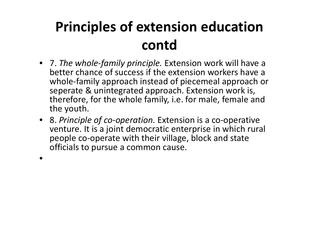## **Principles of extension education contd**

- 7. *The whole-family principle.* Extension work will have a better chance of success if the extension workers have a whole-family approach instead of piecemeal approach or seperate & unintegrated approach. Extension work is, therefore, for the whole family, i.e. for male, female and the youth.
- 8. *Principle of co-operation.* Extension is a co-operative venture. It is a joint democratic enterprise in which rural people co-operate with their village, block and state officials to pursue a common cause.
- •